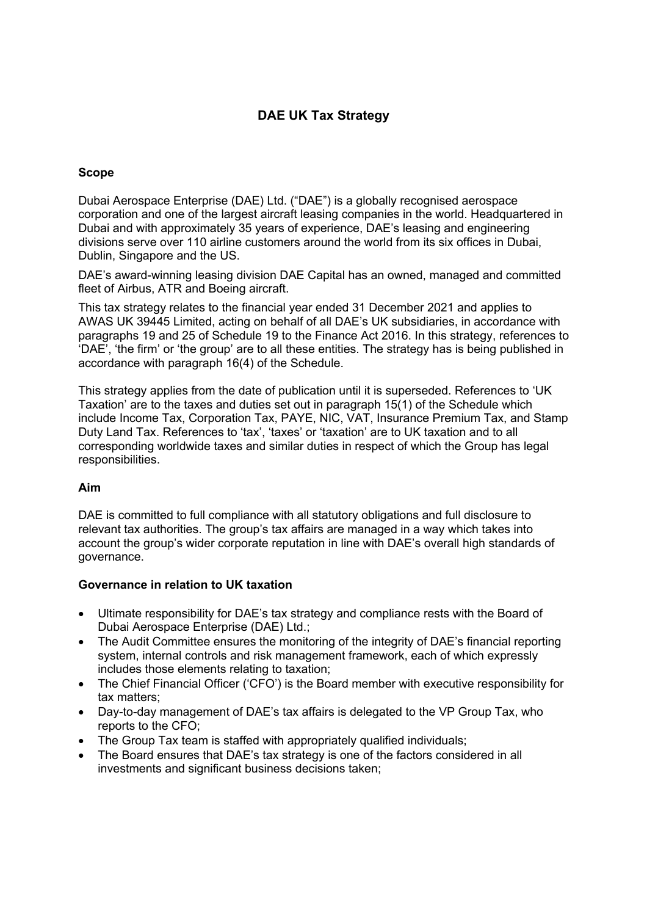# **DAE UK Tax Strategy**

## **Scope**

Dubai Aerospace Enterprise (DAE) Ltd. ("DAE") is a globally recognised aerospace corporation and one of the largest aircraft leasing companies in the world. Headquartered in Dubai and with approximately 35 years of experience, DAE's leasing and engineering divisions serve over 110 airline customers around the world from its six offices in Dubai, Dublin, Singapore and the US.

DAE's award-winning leasing division DAE Capital has an owned, managed and committed fleet of Airbus, ATR and Boeing aircraft.

This tax strategy relates to the financial year ended 31 December 2021 and applies to AWAS UK 39445 Limited, acting on behalf of all DAE's UK subsidiaries, in accordance with paragraphs 19 and 25 of Schedule 19 to the Finance Act 2016. In this strategy, references to 'DAE', 'the firm' or 'the group' are to all these entities. The strategy has is being published in accordance with paragraph 16(4) of the Schedule.

This strategy applies from the date of publication until it is superseded. References to 'UK Taxation' are to the taxes and duties set out in paragraph 15(1) of the Schedule which include Income Tax, Corporation Tax, PAYE, NIC, VAT, Insurance Premium Tax, and Stamp Duty Land Tax. References to 'tax', 'taxes' or 'taxation' are to UK taxation and to all corresponding worldwide taxes and similar duties in respect of which the Group has legal responsibilities.

### **Aim**

DAE is committed to full compliance with all statutory obligations and full disclosure to relevant tax authorities. The group's tax affairs are managed in a way which takes into account the group's wider corporate reputation in line with DAE's overall high standards of governance.

### **Governance in relation to UK taxation**

- Ultimate responsibility for DAE's tax strategy and compliance rests with the Board of Dubai Aerospace Enterprise (DAE) Ltd.;
- The Audit Committee ensures the monitoring of the integrity of DAE's financial reporting system, internal controls and risk management framework, each of which expressly includes those elements relating to taxation;
- The Chief Financial Officer ('CFO') is the Board member with executive responsibility for tax matters;
- Day-to-day management of DAE's tax affairs is delegated to the VP Group Tax, who reports to the CFO;
- The Group Tax team is staffed with appropriately qualified individuals;
- The Board ensures that DAE's tax strategy is one of the factors considered in all investments and significant business decisions taken: